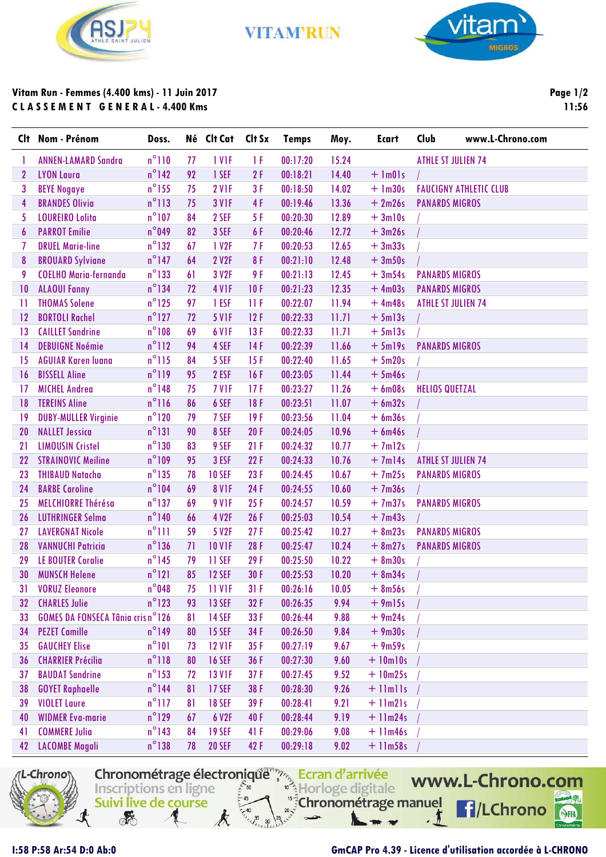

**VITAM'RUN** 



## **Vitam Run - Femmes (4.400 kms) - 11 Juin 2017 C L A S S E M E N T G E N E R A L - 4.400 Kms**

**Page 1/2 11:56**

|                 | Clt Nom - Prénom                         | Doss.           |    | Né Clt Cat        | Clt Sx | <b>Temps</b> | Moy.  | <b>Ecart</b>      | <b>Club</b><br>www.L-Chrono.com |
|-----------------|------------------------------------------|-----------------|----|-------------------|--------|--------------|-------|-------------------|---------------------------------|
|                 | <b>ANNEN-LAMARD Sandra</b>               | $n^{\circ}110$  | 77 | 1 V <sub>IF</sub> | 1 F    | 00:17:20     | 15.24 |                   | <b>ATHLE ST JULIEN 74</b>       |
| $\mathbf{2}$    | <b>LYON Laura</b>                        | $n^{\circ}$ 142 | 92 | 1 SEF             | 2F     | 00:18:21     | 14.40 | $+$ 1m01s         |                                 |
| 3               | <b>BEYE Nogaye</b>                       | $n^{\circ}$ 155 | 75 | 2 VIF             | 3F     | 00:18:50     | 14.02 | $+$ 1m30s         | <b>FAUCIGNY ATHLETIC CLUB</b>   |
| 4               | <b>BRANDES Olivia</b>                    | $n^{\circ}$ 113 | 75 | <b>3 V1F</b>      | 4F     | 00:19:46     | 13.36 | $+2m26s$          | <b>PANARDS MIGROS</b>           |
| 5               | <b>LOUREIRO Lolita</b>                   | $n^{\circ}107$  | 84 | 2 SEF             | 5F     | 00:20:30     | 12.89 | $+3ml0s$          |                                 |
| 6               | <b>PARROT Emilie</b>                     | $n^{\circ}$ 049 | 82 | 3 SEF             | 6 F    | 00:20:46     | 12.72 | $+3m26s$          |                                 |
|                 | <b>DRUEL Marie-line</b>                  | $n^{\circ}$ 132 | 67 | 1 V <sub>2F</sub> | 7 F    | 00:20:53     | 12.65 | $+3m33s$          |                                 |
| 8               | <b>BROUARD Sylviane</b>                  | $n^{\circ}$ 147 | 64 | 2 V2F             | 8F     | 00:21:10     | 12.48 | $+3m50s$          |                                 |
| 9               | <b>COELHO Maria-fernanda</b>             | $n^{\circ}$ 133 | 61 | 3 V2F             | 9 F    | 00:21:13     | 12.45 | $+3m54s$          | <b>PANARDS MIGROS</b>           |
| 10              | <b>ALAOUI Fanny</b>                      | $n^{\circ}$ 134 | 72 | 4 V <sub>IF</sub> | 10F    | 00:21:23     | 12.35 | $+4m03s$          | <b>PANARDS MIGROS</b>           |
| $\mathbf{1}$    | <b>THOMAS Solene</b>                     | $n^{\circ}$ 125 | 97 | 1 ESF             | 11F    | 00:22:07     | 11.94 | $+4m48s$          | <b>ATHLE ST JULIEN 74</b>       |
| 12              | <b>BORTOLI Rachel</b>                    | $n^{\circ}$ 127 | 72 | <b>5 V1F</b>      | 12F    | 00:22:33     | 11.71 | $+5m13s$          |                                 |
| 13              | <b>CAILLET Sandrine</b>                  | $n^{\circ}108$  | 69 | 6 V <sub>IF</sub> | 13F    | 00:22:33     | 11.71 | $+5m13s$          |                                 |
| 14              | <b>DEBUIGNE Noémie</b>                   | $n^{\circ}112$  | 94 | 4 SEF             | 14F    | 00:22:39     | 11.66 | $+5m19s$          | <b>PANARDS MIGROS</b>           |
| 15              | <b>AGUIAR Karen luana</b>                | $n^{\circ}$ 115 | 84 | 5 SEF             | 15F    | 00:22:40     | 11.65 | $+5m20s$          |                                 |
| 16              | <b>BISSELL Aline</b>                     | $n^{\circ}119$  | 95 | 2 ESF             | 16F    | 00:23:05     | 11.44 | $+5m46s$          |                                 |
| 17              | <b>MICHEL Andrea</b>                     | $n^{\circ}$ 148 | 75 | 7 VIF             | 17F    | 00:23:27     | 11.26 | $+6$ m08s         | <b>HELIOS QUETZAL</b>           |
| 18              | <b>TEREINS Aline</b>                     | $n^{\circ}116$  | 86 | 6 SEF             | 18F    | 00:23:51     | 11.07 | $+ 6m32s$         |                                 |
| 19              | <b>DUBY-MULLER Virginie</b>              | $n^{\circ}120$  | 79 | 7 SEF             | 19F    | 00:23:56     | 11.04 | $+6m36s$          |                                 |
| 20              | <b>NALLET Jessica</b>                    | $n^{\circ}$ 131 | 90 | 8 SEF             | 20F    | 00:24:05     | 10.96 | $+ 6m46s$         |                                 |
| 21              | <b>LIMOUSIN Cristel</b>                  | $n^{\circ}130$  | 83 | 9 SEF             | 21F    | 00:24:32     | 10.77 | $+7ml2s$          |                                 |
| 22              | <b>STRAINOVIC Meiline</b>                | $n^{\circ}109$  | 95 | 3 ESF             | 22F    | 00:24:33     | 10.76 | $+7m14s$          | <b>ATHLE ST JULIEN 74</b>       |
| 23              | <b>THIBAUD Natacha</b>                   | $n^{\circ}$ 135 | 78 | <b>10 SEF</b>     | 23F    | 00:24:45     | 10.67 | $+7m25s$          | <b>PANARDS MIGROS</b>           |
| 24              | <b>BARBE Caroline</b>                    | $n^{\circ}104$  | 69 | <b>8 V1F</b>      | 24F    | 00:24:55     | 10.60 | $+7m36s$          |                                 |
| 25              | MELCHIORRE Thérésa                       | $n^{\circ}$ 137 | 69 | <b>9 V1F</b>      | 25F    | 00:24:57     | 10.59 | $+7m37s$          | <b>PANARDS MIGROS</b>           |
| 26              | <b>LUTHRINGER Selma</b>                  | $n^{\circ}$ 140 | 66 | 4 V2F             | 26F    | 00:25:03     | 10.54 | $+7m43s$          |                                 |
| 27              | <b>LAVERGNAT Nicole</b>                  | $n^{\circ}$ ]]] | 59 | 5 V <sub>2F</sub> | 27F    | 00:25:42     | 10.27 | $+ 8m23s$         | <b>PANARDS MIGROS</b>           |
| 28              | <b>VANNUCHI Patricia</b>                 | $n^{\circ}136$  | 71 | <b>10 V1F</b>     | 28F    | 00:25:47     | 10.24 | $+ 8m27s$         | <b>PANARDS MIGROS</b>           |
| 29              | <b>LE BOUTER Coralie</b>                 | $n^{\circ}$ 145 | 79 | 11 SEF            | 29F    | 00:25:50     | 10.22 | $+8m30s$          |                                 |
| 30              | <b>MUNSCH Helene</b>                     | $n^{\circ}121$  | 85 | <b>12 SEF</b>     | 30F    | 00:25:53     | 10.20 | $+ 8m34s$         |                                 |
| 31 <sup>1</sup> | <b>VORUZ Eleonore</b>                    | $n^{\circ}048$  | 75 | 11 V1F            | 31F    | 00:26:16     | 10.05 | $+ 8m56s$         |                                 |
| 32              | <b>CHARLES Julie</b>                     | $n^{\circ}$ 123 | 93 | <b>13 SEF</b>     | 32F    | 00:26:35     | 9.94  | $+9m15s$          |                                 |
| 33              | <b>GOMES DA FONSECA Tânia cris n°126</b> |                 | 81 | <b>14 SEF</b>     | 33 F   | 00:26:44     | 9.88  | $+9m24s$          |                                 |
| 34              | <b>PEZET Camille</b>                     | $n^{\circ}$ 149 | 80 | <b>15 SEF</b>     | 34F    | 00:26:50     | 9.84  | $+9m30s$          |                                 |
| 35              | <b>GAUCHEY Elise</b>                     | $n^{\circ}101$  | 73 | <b>12 V1F</b>     | 35F    | 00:27:19     | 9.67  | $+9m59s$          |                                 |
| 36              | <b>CHARRIER Précilia</b>                 | $n^{\circ}118$  | 80 | <b>16 SEF</b>     | 36 F   | 00:27:30     | 9.60  | $+$ 10 $m$ 10s    |                                 |
| 37              | <b>BAUDAT Sandrine</b>                   | $n^{\circ}$ 153 | 72 | <b>13 V1F</b>     | 37F    | 00:27:45     | 9.52  | $+10m25s$         |                                 |
| 38              | <b>GOYET Raphaelle</b>                   | $n^{\circ}$ 144 | 81 | <b>17 SEF</b>     | 38 F   | 00:28:30     | 9.26  | $+$ 11 $m$ 11 $s$ |                                 |
| 39              | <b>VIOLET Laure</b>                      | $n^{\circ}$ 117 | 81 | <b>18 SEF</b>     | 39F    | 00:28:41     | 9.21  | $+$ 11m21s        |                                 |
| 40              | <b>WIDMER Eva-marie</b>                  | $n^{\circ}$ 129 | 67 | 6 V2F             | 40F    | 00:28:44     | 9.19  | $+$ 11m24s        |                                 |
| 41              | <b>COMMERE Julia</b>                     | $n^{\circ}$ 143 | 84 | <b>19 SEF</b>     | 41 F   | 00:29:06     | 9.08  | $+11m46s$         |                                 |
| 42              | <b>LACOMBE Magali</b>                    | $n^{\circ}138$  | 78 | <b>20 SEF</b>     | 42 F   | 00:29:18     | 9.02  | $+11m58s$         |                                 |



Ecran d'arrivée<br>Inscriptions en ligne Suivi live de course **REA**